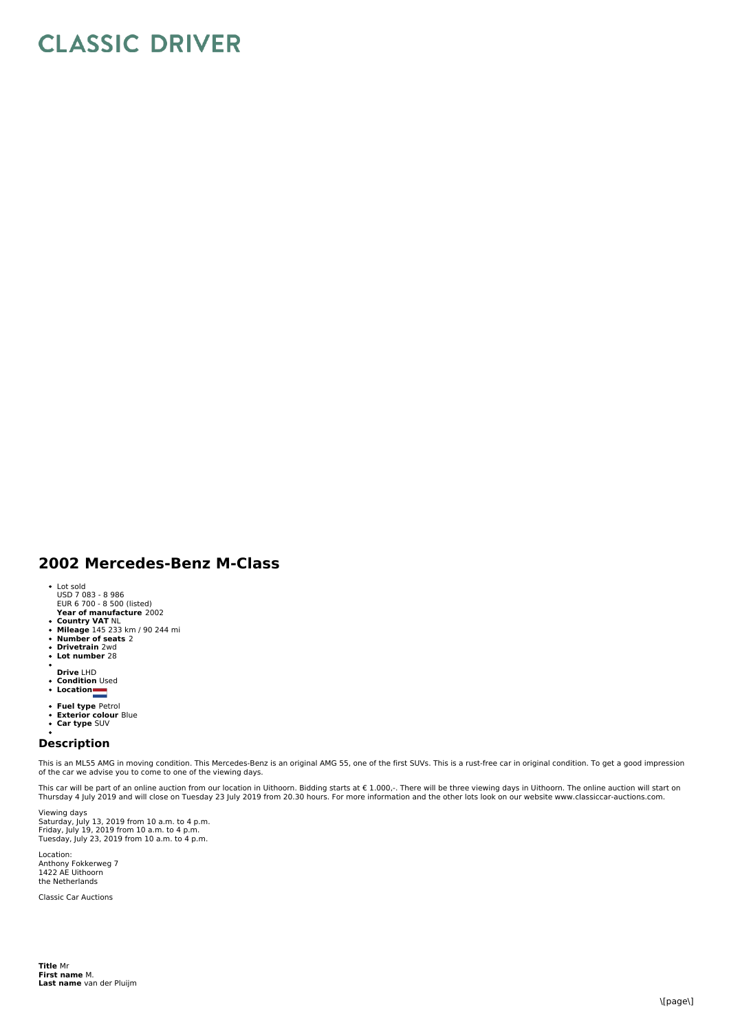## **CLASSIC DRIVER**

## **2002 Mercedes-Benz M-Class**

- 
- Lot sold USD 7 083 8 986 EUR 6 700 8 500 (listed)
- **Year of manufacture** 2002
- 
- **Country VAT** NL<br>**Mileage** 145 233 km / 90 244 mi<br>**Number of seats** 2<br>**Drivetrain** 2wd
- 
- $\ddot{\phantom{0}}$ **Lot number** 28
- 
- **Drive** LHD
- **Condition** Used **Location**
- 
- **Fuel type** Petrol
- $\bullet$ **Exterior colour** Blue **Car type** SUV
- $\bullet$

## **Description**

This is an ML55 AMG in moving condition. This Mercedes-Benz is an original AMG 55, one of the first SUVs. This is a rust-free car in original condition. To get a good impression of the car we advise you to come to one of the viewing days.

This car will be part of an online auction from our location in Uithoorn. Bidding starts at € 1.000,-. There will be three viewing days in Uithoorn. The online auction will start on Thursday 4 July 2019 and will close on Tuesday 23 July 2019 from 20.30 hours. For more information and the other lots look on our website www.classiccar-auctions.com.

Viewing days Saturday, July 13, 2019 from 10 a.m. to 4 p.m.<br>Friday, July 19, 2019 from 10 a.m. to 4 p.m.<br>Tuesday, July 23, 2019 from 10 a.m. to 4 p.m.

Location: Anthony Fokkerweg 7 1422 AE Uithoorn the Netherlands

Classic Car Auctions